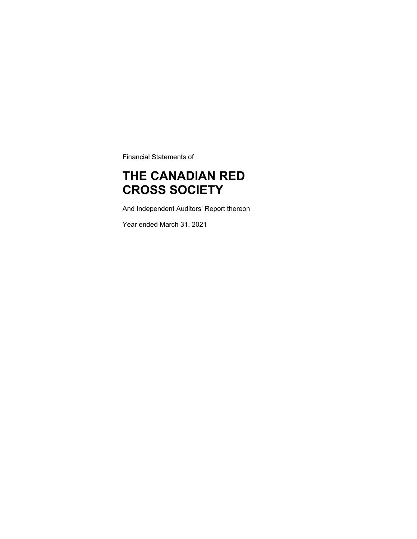Financial Statements of

## **THE CANADIAN RED CROSS SOCIETY**

And Independent Auditors' Report thereon

Year ended March 31, 2021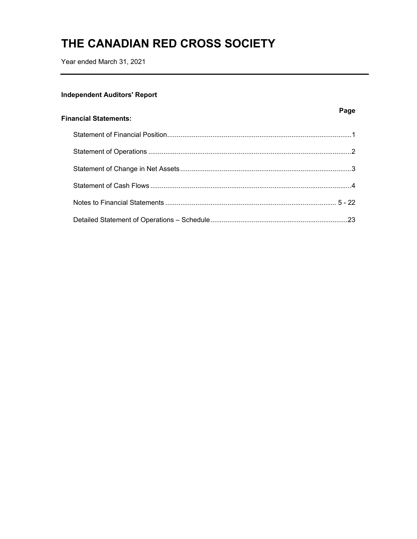Year ended March 31, 2021

## **Independent Auditors' Report**

| Page | <b>Financial Statements:</b> |
|------|------------------------------|
|      |                              |
|      |                              |
|      |                              |
|      |                              |
|      |                              |
|      |                              |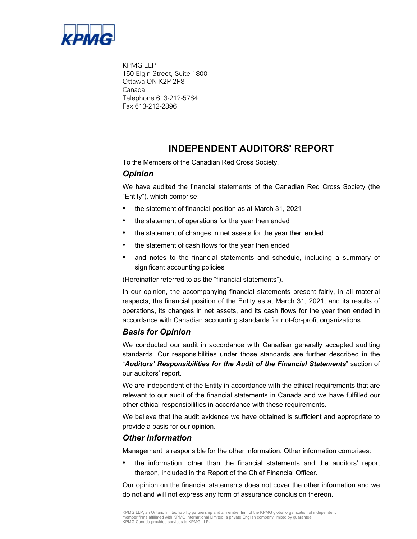

KPMG LLP 150 Elgin Street, Suite 1800 Ottawa ON K2P 2P8 Canada Telephone 613-212-5764 Fax 613-212-2896

## **INDEPENDENT AUDITORS' REPORT**

To the Members of the Canadian Red Cross Society,

### *Opinion*

We have audited the financial statements of the Canadian Red Cross Society (the "Entity"), which comprise:

- the statement of financial position as at March 31, 2021
- the statement of operations for the year then ended
- the statement of changes in net assets for the year then ended
- the statement of cash flows for the year then ended
- and notes to the financial statements and schedule, including a summary of significant accounting policies

(Hereinafter referred to as the "financial statements").

In our opinion, the accompanying financial statements present fairly, in all material respects, the financial position of the Entity as at March 31, 2021, and its results of operations, its changes in net assets, and its cash flows for the year then ended in accordance with Canadian accounting standards for not-for-profit organizations.

## *Basis for Opinion*

We conducted our audit in accordance with Canadian generally accepted auditing standards. Our responsibilities under those standards are further described in the "*Auditors' Responsibilities for the Audit of the Financial Statements*" section of our auditors' report.

We are independent of the Entity in accordance with the ethical requirements that are relevant to our audit of the financial statements in Canada and we have fulfilled our other ethical responsibilities in accordance with these requirements.

We believe that the audit evidence we have obtained is sufficient and appropriate to provide a basis for our opinion.

## *Other Information*

Management is responsible for the other information. Other information comprises:

• the information, other than the financial statements and the auditors' report thereon, included in the Report of the Chief Financial Officer.

Our opinion on the financial statements does not cover the other information and we do not and will not express any form of assurance conclusion thereon.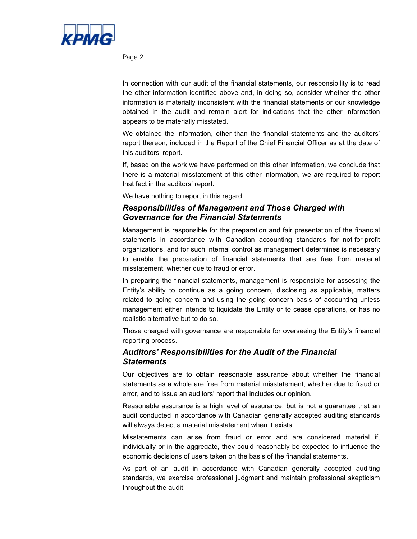

Page 2

In connection with our audit of the financial statements, our responsibility is to read the other information identified above and, in doing so, consider whether the other information is materially inconsistent with the financial statements or our knowledge obtained in the audit and remain alert for indications that the other information appears to be materially misstated.

We obtained the information, other than the financial statements and the auditors' report thereon, included in the Report of the Chief Financial Officer as at the date of this auditors' report.

If, based on the work we have performed on this other information, we conclude that there is a material misstatement of this other information, we are required to report that fact in the auditors' report.

We have nothing to report in this regard.

## *Responsibilities of Management and Those Charged with Governance for the Financial Statements*

Management is responsible for the preparation and fair presentation of the financial statements in accordance with Canadian accounting standards for not-for-profit organizations, and for such internal control as management determines is necessary to enable the preparation of financial statements that are free from material misstatement, whether due to fraud or error.

In preparing the financial statements, management is responsible for assessing the Entity's ability to continue as a going concern, disclosing as applicable, matters related to going concern and using the going concern basis of accounting unless management either intends to liquidate the Entity or to cease operations, or has no realistic alternative but to do so.

Those charged with governance are responsible for overseeing the Entity's financial reporting process.

## *Auditors' Responsibilities for the Audit of the Financial Statements*

Our objectives are to obtain reasonable assurance about whether the financial statements as a whole are free from material misstatement, whether due to fraud or error, and to issue an auditors' report that includes our opinion.

Reasonable assurance is a high level of assurance, but is not a guarantee that an audit conducted in accordance with Canadian generally accepted auditing standards will always detect a material misstatement when it exists.

Misstatements can arise from fraud or error and are considered material if, individually or in the aggregate, they could reasonably be expected to influence the economic decisions of users taken on the basis of the financial statements.

As part of an audit in accordance with Canadian generally accepted auditing standards, we exercise professional judgment and maintain professional skepticism throughout the audit.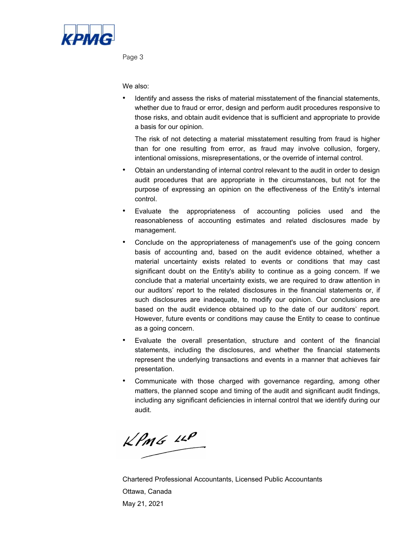

Page 3

We also:

• Identify and assess the risks of material misstatement of the financial statements, whether due to fraud or error, design and perform audit procedures responsive to those risks, and obtain audit evidence that is sufficient and appropriate to provide a basis for our opinion.

The risk of not detecting a material misstatement resulting from fraud is higher than for one resulting from error, as fraud may involve collusion, forgery, intentional omissions, misrepresentations, or the override of internal control.

- Obtain an understanding of internal control relevant to the audit in order to design audit procedures that are appropriate in the circumstances, but not for the purpose of expressing an opinion on the effectiveness of the Entity's internal control.
- Evaluate the appropriateness of accounting policies used and the reasonableness of accounting estimates and related disclosures made by management.
- Conclude on the appropriateness of management's use of the going concern basis of accounting and, based on the audit evidence obtained, whether a material uncertainty exists related to events or conditions that may cast significant doubt on the Entity's ability to continue as a going concern. If we conclude that a material uncertainty exists, we are required to draw attention in our auditors' report to the related disclosures in the financial statements or, if such disclosures are inadequate, to modify our opinion. Our conclusions are based on the audit evidence obtained up to the date of our auditors' report. However, future events or conditions may cause the Entity to cease to continue as a going concern.
- Evaluate the overall presentation, structure and content of the financial statements, including the disclosures, and whether the financial statements represent the underlying transactions and events in a manner that achieves fair presentation.
- Communicate with those charged with governance regarding, among other matters, the planned scope and timing of the audit and significant audit findings, including any significant deficiencies in internal control that we identify during our audit.

KPMG LLP

Chartered Professional Accountants, Licensed Public Accountants Ottawa, Canada May 21, 2021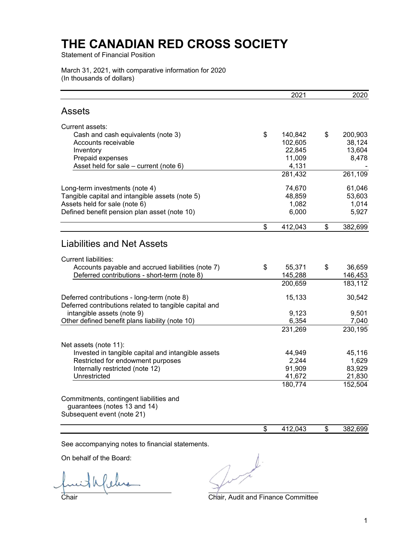Statement of Financial Position

March 31, 2021, with comparative information for 2020 (In thousands of dollars)

|                                                        | 2021          | 2020          |
|--------------------------------------------------------|---------------|---------------|
| <b>Assets</b>                                          |               |               |
| Current assets:                                        |               |               |
| Cash and cash equivalents (note 3)                     | \$<br>140,842 | \$<br>200,903 |
| Accounts receivable                                    | 102,605       | 38,124        |
| Inventory                                              | 22,845        | 13,604        |
| Prepaid expenses                                       | 11,009        | 8,478         |
| Asset held for sale $-$ current (note 6)               | 4,131         |               |
|                                                        | 281,432       | 261,109       |
| Long-term investments (note 4)                         | 74,670        | 61,046        |
| Tangible capital and intangible assets (note 5)        | 48,859        | 53,603        |
| Assets held for sale (note 6)                          | 1,082         | 1,014         |
| Defined benefit pension plan asset (note 10)           | 6,000         | 5,927         |
|                                                        | \$<br>412,043 | \$<br>382,699 |
| <b>Liabilities and Net Assets</b>                      |               |               |
| <b>Current liabilities:</b>                            |               |               |
| Accounts payable and accrued liabilities (note 7)      | \$<br>55,371  | \$<br>36,659  |
| Deferred contributions - short-term (note 8)           | 145,288       | 146,453       |
|                                                        | 200,659       | 183,112       |
| Deferred contributions - long-term (note 8)            | 15,133        | 30,542        |
| Deferred contributions related to tangible capital and |               |               |
| intangible assets (note 9)                             | 9,123         | 9,501         |
| Other defined benefit plans liability (note 10)        | 6,354         | 7,040         |
|                                                        | 231,269       | 230,195       |
| Net assets (note 11):                                  |               |               |
| Invested in tangible capital and intangible assets     | 44,949        | 45,116        |
| Restricted for endowment purposes                      | 2,244         | 1,629         |
| Internally restricted (note 12)                        | 91,909        | 83,929        |
| Unrestricted                                           | 41,672        | 21,830        |
|                                                        | 180,774       | 152,504       |
| Commitments, contingent liabilities and                |               |               |
| guarantees (notes 13 and 14)                           |               |               |
| Subsequent event (note 21)                             |               |               |
|                                                        | \$<br>412,043 | \$<br>382,699 |
|                                                        |               |               |

See accompanying notes to financial statements.

On behalf of the Board:

 $\sqrt{2}$ 

Chair Chair, Audit and Finance Committee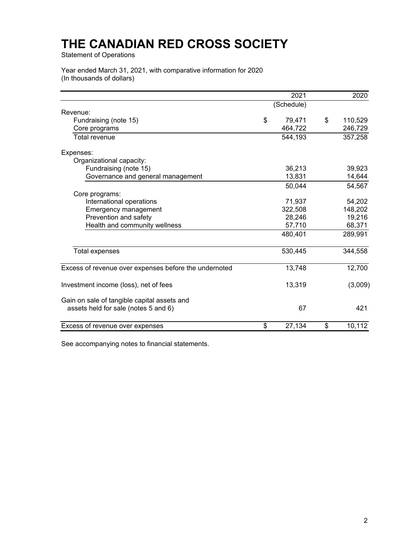Statement of Operations

Year ended March 31, 2021, with comparative information for 2020 (In thousands of dollars)

|                                                       | 2021         | 2020          |
|-------------------------------------------------------|--------------|---------------|
|                                                       | (Schedule)   |               |
| Revenue:                                              |              |               |
| Fundraising (note 15)                                 | \$<br>79,471 | \$<br>110,529 |
| Core programs                                         | 464,722      | 246,729       |
| <b>Total revenue</b>                                  | 544,193      | 357,258       |
| Expenses:                                             |              |               |
| Organizational capacity:                              |              |               |
| Fundraising (note 15)                                 | 36,213       | 39,923        |
| Governance and general management                     | 13,831       | 14,644        |
|                                                       | 50,044       | 54,567        |
| Core programs:                                        |              |               |
| International operations                              | 71,937       | 54,202        |
| Emergency management                                  | 322,508      | 148,202       |
| Prevention and safety                                 | 28,246       | 19,216        |
| Health and community wellness                         | 57,710       | 68,371        |
|                                                       | 480,401      | 289,991       |
| <b>Total expenses</b>                                 | 530,445      | 344,558       |
| Excess of revenue over expenses before the undernoted | 13,748       | 12,700        |
| Investment income (loss), net of fees                 | 13,319       | (3,009)       |
| Gain on sale of tangible capital assets and           |              |               |
| assets held for sale (notes 5 and 6)                  | 67           | 421           |
| Excess of revenue over expenses                       | \$<br>27,134 | \$<br>10,112  |

See accompanying notes to financial statements.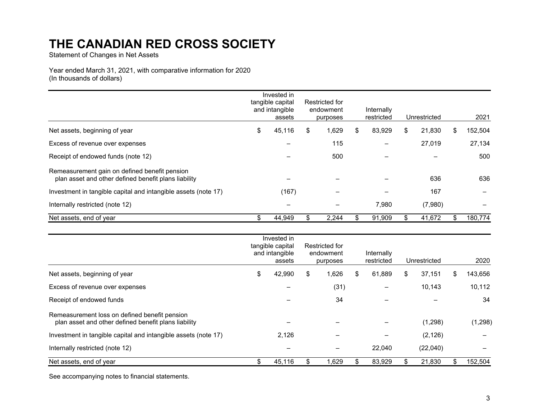Statement of Changes in Net Assets

Year ended March 31, 2021, with comparative information for 2020 (In thousands of dollars)

|                                                                                                       | Invested in<br>tangible capital<br>and intangible<br>assets | Restricted for<br>endowment<br>purposes | Internally<br>restricted |    | Unrestricted |    | 2021    |
|-------------------------------------------------------------------------------------------------------|-------------------------------------------------------------|-----------------------------------------|--------------------------|----|--------------|----|---------|
| Net assets, beginning of year                                                                         | \$<br>45,116                                                | \$<br>1,629                             | \$<br>83,929             | \$ | 21,830       | \$ | 152,504 |
| Excess of revenue over expenses                                                                       |                                                             | 115                                     |                          |    | 27,019       |    | 27,134  |
| Receipt of endowed funds (note 12)                                                                    |                                                             | 500                                     |                          |    |              |    | 500     |
| Remeasurement gain on defined benefit pension<br>plan asset and other defined benefit plans liability |                                                             |                                         |                          |    | 636          |    | 636     |
| Investment in tangible capital and intangible assets (note 17)                                        | (167)                                                       |                                         |                          |    | 167          |    |         |
| Internally restricted (note 12)                                                                       |                                                             |                                         | 7,980                    |    | (7,980)      |    |         |
| Net assets, end of year                                                                               | 44,949                                                      | 2,244                                   | 91,909                   | \$ | 41,672       | \$ | 180,774 |

|                                                                                                       | Invested in<br>tangible capital<br>and intangible<br>assets | Restricted for<br>endowment<br>purposes |   | Internally<br>restricted | Unrestricted |     | 2020    |
|-------------------------------------------------------------------------------------------------------|-------------------------------------------------------------|-----------------------------------------|---|--------------------------|--------------|-----|---------|
| Net assets, beginning of year                                                                         | \$<br>42,990                                                | \$<br>1,626                             | S | 61,889                   | \$<br>37,151 | S   | 143,656 |
| Excess of revenue over expenses                                                                       |                                                             | (31)                                    |   |                          | 10,143       |     | 10,112  |
| Receipt of endowed funds                                                                              |                                                             | 34                                      |   |                          |              |     | 34      |
| Remeasurement loss on defined benefit pension<br>plan asset and other defined benefit plans liability |                                                             |                                         |   |                          | (1,298)      |     | (1,298) |
| Investment in tangible capital and intangible assets (note 17)                                        | 2,126                                                       |                                         |   |                          | (2, 126)     |     |         |
| Internally restricted (note 12)                                                                       |                                                             |                                         |   | 22,040                   | (22,040)     |     |         |
| Net assets, end of year                                                                               | \$<br>45,116                                                | .629                                    |   | 83,929                   | 21,830       | \$. | 152,504 |

See accompanying notes to financial statements.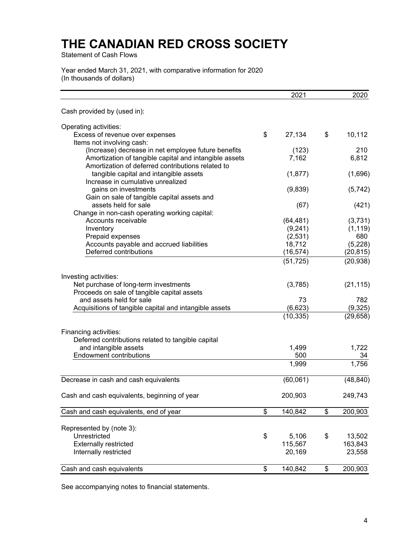Statement of Cash Flows

Year ended March 31, 2021, with comparative information for 2020 (In thousands of dollars)

|                                                        | 2021          | 2020          |
|--------------------------------------------------------|---------------|---------------|
| Cash provided by (used in):                            |               |               |
| Operating activities:                                  |               |               |
| Excess of revenue over expenses                        | \$<br>27,134  | \$<br>10,112  |
| Items not involving cash:                              |               |               |
| (Increase) decrease in net employee future benefits    | (123)         | 210           |
| Amortization of tangible capital and intangible assets | 7,162         | 6,812         |
| Amortization of deferred contributions related to      |               |               |
| tangible capital and intangible assets                 | (1, 877)      | (1,696)       |
| Increase in cumulative unrealized                      |               |               |
| gains on investments                                   | (9,839)       | (5, 742)      |
| Gain on sale of tangible capital assets and            |               |               |
| assets held for sale                                   | (67)          | (421)         |
| Change in non-cash operating working capital:          |               |               |
| Accounts receivable                                    | (64, 481)     | (3,731)       |
| Inventory                                              | (9,241)       | (1, 119)      |
| Prepaid expenses                                       | (2, 531)      | 680           |
| Accounts payable and accrued liabilities               | 18,712        | (5,228)       |
| Deferred contributions                                 | (16, 574)     | (20, 815)     |
|                                                        | (51, 725)     | (20, 938)     |
| Investing activities:                                  |               |               |
| Net purchase of long-term investments                  | (3,785)       | (21, 115)     |
| Proceeds on sale of tangible capital assets            |               |               |
| and assets held for sale                               | 73            | 782           |
| Acquisitions of tangible capital and intangible assets | (6,623)       | (9,325)       |
|                                                        | (10, 335)     | (29, 658)     |
| Financing activities:                                  |               |               |
| Deferred contributions related to tangible capital     |               |               |
| and intangible assets                                  | 1,499         | 1,722         |
| <b>Endowment contributions</b>                         | 500           | 34            |
|                                                        | 1,999         | 1,756         |
| Decrease in cash and cash equivalents                  | (60,061)      | (48, 840)     |
| Cash and cash equivalents, beginning of year           | 200,903       | 249,743       |
| Cash and cash equivalents, end of year                 | \$<br>140,842 | \$<br>200,903 |
|                                                        |               |               |
| Represented by (note 3):                               |               |               |
| Unrestricted                                           | \$<br>5,106   | \$<br>13,502  |
| <b>Externally restricted</b>                           | 115,567       | 163,843       |
| Internally restricted                                  | 20,169        | 23,558        |
| Cash and cash equivalents                              | \$<br>140,842 | \$<br>200,903 |

See accompanying notes to financial statements.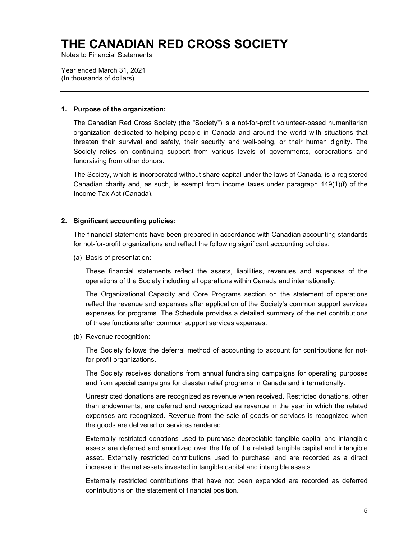Notes to Financial Statements

Year ended March 31, 2021 (In thousands of dollars)

#### **1. Purpose of the organization:**

The Canadian Red Cross Society (the "Society") is a not-for-profit volunteer-based humanitarian organization dedicated to helping people in Canada and around the world with situations that threaten their survival and safety, their security and well-being, or their human dignity. The Society relies on continuing support from various levels of governments, corporations and fundraising from other donors.

The Society, which is incorporated without share capital under the laws of Canada, is a registered Canadian charity and, as such, is exempt from income taxes under paragraph 149(1)(f) of the Income Tax Act (Canada).

### **2. Significant accounting policies:**

The financial statements have been prepared in accordance with Canadian accounting standards for not-for-profit organizations and reflect the following significant accounting policies:

(a) Basis of presentation:

These financial statements reflect the assets, liabilities, revenues and expenses of the operations of the Society including all operations within Canada and internationally.

The Organizational Capacity and Core Programs section on the statement of operations reflect the revenue and expenses after application of the Society's common support services expenses for programs. The Schedule provides a detailed summary of the net contributions of these functions after common support services expenses.

(b) Revenue recognition:

The Society follows the deferral method of accounting to account for contributions for notfor-profit organizations.

The Society receives donations from annual fundraising campaigns for operating purposes and from special campaigns for disaster relief programs in Canada and internationally.

Unrestricted donations are recognized as revenue when received. Restricted donations, other than endowments, are deferred and recognized as revenue in the year in which the related expenses are recognized. Revenue from the sale of goods or services is recognized when the goods are delivered or services rendered.

Externally restricted donations used to purchase depreciable tangible capital and intangible assets are deferred and amortized over the life of the related tangible capital and intangible asset. Externally restricted contributions used to purchase land are recorded as a direct increase in the net assets invested in tangible capital and intangible assets.

Externally restricted contributions that have not been expended are recorded as deferred contributions on the statement of financial position.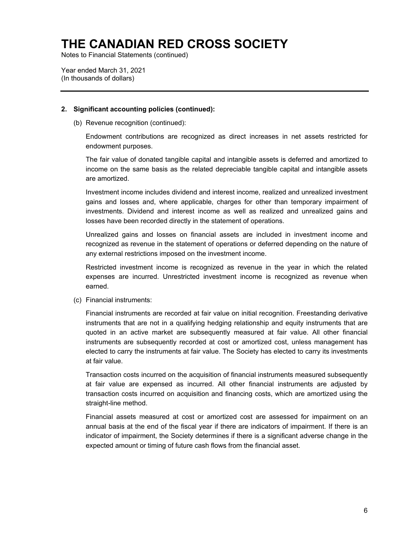Notes to Financial Statements (continued)

Year ended March 31, 2021 (In thousands of dollars)

### **2. Significant accounting policies (continued):**

(b) Revenue recognition (continued):

Endowment contributions are recognized as direct increases in net assets restricted for endowment purposes.

The fair value of donated tangible capital and intangible assets is deferred and amortized to income on the same basis as the related depreciable tangible capital and intangible assets are amortized.

Investment income includes dividend and interest income, realized and unrealized investment gains and losses and, where applicable, charges for other than temporary impairment of investments. Dividend and interest income as well as realized and unrealized gains and losses have been recorded directly in the statement of operations.

Unrealized gains and losses on financial assets are included in investment income and recognized as revenue in the statement of operations or deferred depending on the nature of any external restrictions imposed on the investment income.

Restricted investment income is recognized as revenue in the year in which the related expenses are incurred. Unrestricted investment income is recognized as revenue when earned.

(c) Financial instruments:

Financial instruments are recorded at fair value on initial recognition. Freestanding derivative instruments that are not in a qualifying hedging relationship and equity instruments that are quoted in an active market are subsequently measured at fair value. All other financial instruments are subsequently recorded at cost or amortized cost, unless management has elected to carry the instruments at fair value. The Society has elected to carry its investments at fair value.

Transaction costs incurred on the acquisition of financial instruments measured subsequently at fair value are expensed as incurred. All other financial instruments are adjusted by transaction costs incurred on acquisition and financing costs, which are amortized using the straight-line method.

Financial assets measured at cost or amortized cost are assessed for impairment on an annual basis at the end of the fiscal year if there are indicators of impairment. If there is an indicator of impairment, the Society determines if there is a significant adverse change in the expected amount or timing of future cash flows from the financial asset.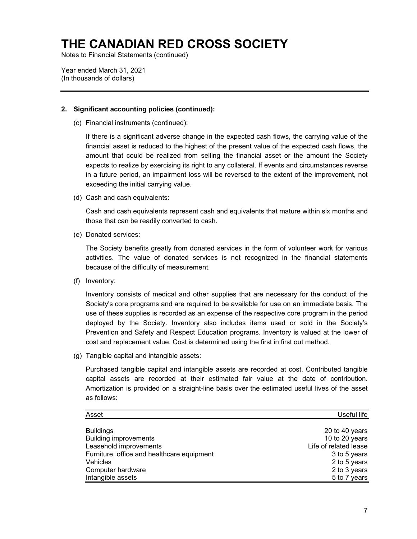Notes to Financial Statements (continued)

Year ended March 31, 2021 (In thousands of dollars)

### **2. Significant accounting policies (continued):**

(c) Financial instruments (continued):

If there is a significant adverse change in the expected cash flows, the carrying value of the financial asset is reduced to the highest of the present value of the expected cash flows, the amount that could be realized from selling the financial asset or the amount the Society expects to realize by exercising its right to any collateral. If events and circumstances reverse in a future period, an impairment loss will be reversed to the extent of the improvement, not exceeding the initial carrying value.

(d) Cash and cash equivalents:

Cash and cash equivalents represent cash and equivalents that mature within six months and those that can be readily converted to cash.

(e) Donated services:

The Society benefits greatly from donated services in the form of volunteer work for various activities. The value of donated services is not recognized in the financial statements because of the difficulty of measurement.

(f) Inventory:

Inventory consists of medical and other supplies that are necessary for the conduct of the Society's core programs and are required to be available for use on an immediate basis. The use of these supplies is recorded as an expense of the respective core program in the period deployed by the Society. Inventory also includes items used or sold in the Society's Prevention and Safety and Respect Education programs. Inventory is valued at the lower of cost and replacement value. Cost is determined using the first in first out method.

(g) Tangible capital and intangible assets:

Purchased tangible capital and intangible assets are recorded at cost. Contributed tangible capital assets are recorded at their estimated fair value at the date of contribution. Amortization is provided on a straight-line basis over the estimated useful lives of the asset as follows:

| Asset                                      | Useful life           |
|--------------------------------------------|-----------------------|
|                                            |                       |
| <b>Buildings</b>                           | 20 to 40 years        |
| <b>Building improvements</b>               | 10 to 20 years        |
| Leasehold improvements                     | Life of related lease |
| Furniture, office and healthcare equipment | 3 to 5 years          |
| Vehicles                                   | 2 to 5 years          |
| Computer hardware                          | 2 to 3 years          |
| Intangible assets                          | 5 to 7 years          |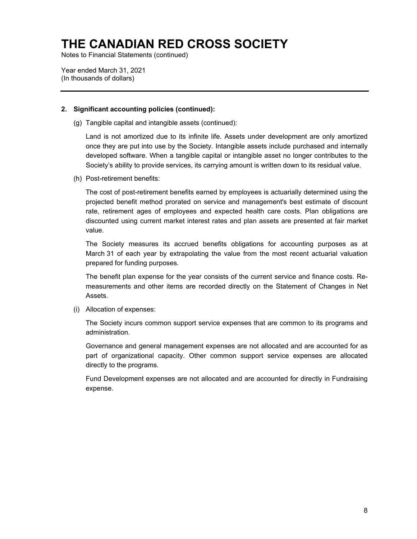Notes to Financial Statements (continued)

Year ended March 31, 2021 (In thousands of dollars)

#### **2. Significant accounting policies (continued):**

(g) Tangible capital and intangible assets (continued):

Land is not amortized due to its infinite life. Assets under development are only amortized once they are put into use by the Society. Intangible assets include purchased and internally developed software. When a tangible capital or intangible asset no longer contributes to the Society's ability to provide services, its carrying amount is written down to its residual value.

(h) Post-retirement benefits:

The cost of post-retirement benefits earned by employees is actuarially determined using the projected benefit method prorated on service and management's best estimate of discount rate, retirement ages of employees and expected health care costs. Plan obligations are discounted using current market interest rates and plan assets are presented at fair market value.

The Society measures its accrued benefits obligations for accounting purposes as at March 31 of each year by extrapolating the value from the most recent actuarial valuation prepared for funding purposes.

The benefit plan expense for the year consists of the current service and finance costs. Remeasurements and other items are recorded directly on the Statement of Changes in Net Assets.

(i) Allocation of expenses:

The Society incurs common support service expenses that are common to its programs and administration.

Governance and general management expenses are not allocated and are accounted for as part of organizational capacity. Other common support service expenses are allocated directly to the programs.

Fund Development expenses are not allocated and are accounted for directly in Fundraising expense.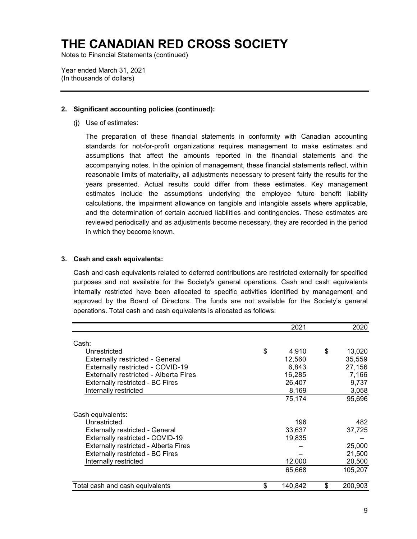Notes to Financial Statements (continued)

Year ended March 31, 2021 (In thousands of dollars)

### **2. Significant accounting policies (continued):**

(j) Use of estimates:

The preparation of these financial statements in conformity with Canadian accounting standards for not-for-profit organizations requires management to make estimates and assumptions that affect the amounts reported in the financial statements and the accompanying notes. In the opinion of management, these financial statements reflect, within reasonable limits of materiality, all adjustments necessary to present fairly the results for the years presented. Actual results could differ from these estimates. Key management estimates include the assumptions underlying the employee future benefit liability calculations, the impairment allowance on tangible and intangible assets where applicable, and the determination of certain accrued liabilities and contingencies. These estimates are reviewed periodically and as adjustments become necessary, they are recorded in the period in which they become known.

### **3. Cash and cash equivalents:**

Cash and cash equivalents related to deferred contributions are restricted externally for specified purposes and not available for the Society's general operations. Cash and cash equivalents internally restricted have been allocated to specific activities identified by management and approved by the Board of Directors. The funds are not available for the Society's general operations. Total cash and cash equivalents is allocated as follows:

|                                              | 2021          | 2020          |
|----------------------------------------------|---------------|---------------|
| Cash:                                        |               |               |
| Unrestricted                                 | \$<br>4,910   | \$<br>13,020  |
| <b>Externally restricted - General</b>       | 12,560        | 35,559        |
| Externally restricted - COVID-19             | 6,843         | 27,156        |
| <b>Externally restricted - Alberta Fires</b> | 16,285        | 7,166         |
| <b>Externally restricted - BC Fires</b>      | 26,407        | 9,737         |
| Internally restricted                        | 8,169         | 3,058         |
|                                              | 75,174        | 95,696        |
| Cash equivalents:                            |               |               |
| Unrestricted                                 | 196           | 482           |
| <b>Externally restricted - General</b>       | 33,637        | 37,725        |
| Externally restricted - COVID-19             | 19,835        |               |
| <b>Externally restricted - Alberta Fires</b> |               | 25,000        |
| Externally restricted - BC Fires             |               | 21,500        |
| Internally restricted                        | 12,000        | 20,500        |
|                                              | 65,668        | 105,207       |
| Total cash and cash equivalents              | \$<br>140,842 | \$<br>200,903 |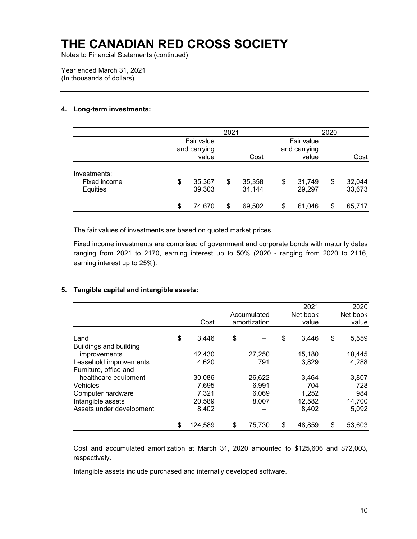Notes to Financial Statements (continued)

Year ended March 31, 2021 (In thousands of dollars)

### **4. Long-term investments:**

|                          |                            | 2021 |                  | 2020                       |                  |    |                  |  |
|--------------------------|----------------------------|------|------------------|----------------------------|------------------|----|------------------|--|
|                          | Fair value<br>and carrying |      |                  | Fair value<br>and carrying |                  |    |                  |  |
|                          | value                      |      | Cost             |                            | value            |    | Cost             |  |
| Investments:             |                            |      |                  |                            |                  |    |                  |  |
| Fixed income<br>Equities | \$<br>35,367<br>39,303     | S    | 35,358<br>34,144 | \$                         | 31,749<br>29,297 | \$ | 32,044<br>33,673 |  |
|                          | \$<br>74,670               | S    | 69,502           | S.                         | 61,046           | S  | 65,717           |  |

The fair values of investments are based on quoted market prices.

Fixed income investments are comprised of government and corporate bonds with maturity dates ranging from 2021 to 2170, earning interest up to 50% (2020 - ranging from 2020 to 2116, earning interest up to 25%).

### **5. Tangible capital and intangible assets:**

|                          | \$ | 124,589 | \$                   | 75,730      | \$ | 48,859   | \$<br>53,603 |
|--------------------------|----|---------|----------------------|-------------|----|----------|--------------|
| Assets under development |    | 8,402   |                      |             |    | 8,402    | 5,092        |
| Intangible assets        |    | 20,589  |                      | 8,007       |    | 12,582   | 14,700       |
| Computer hardware        |    | 7.321   |                      | 6.069       |    | 1,252    | 984          |
| Vehicles                 |    | 7,695   |                      | 6,991       |    | 704      | 728          |
| healthcare equipment     |    | 30,086  |                      | 26,622      |    | 3,464    | 3,807        |
| Furniture, office and    |    |         |                      |             |    |          |              |
| Leasehold improvements   |    | 4.620   |                      | 791         |    | 3.829    | 4,288        |
| <i>improvements</i>      |    | 42,430  |                      | 27,250      |    | 15,180   | 18,445       |
| Buildings and building   |    |         |                      |             |    |          |              |
| Land                     | \$ | 3.446   | \$                   |             | \$ | 3.446    | \$<br>5,559  |
|                          |    |         | amortization<br>Cost |             |    | value    | value        |
|                          |    |         |                      | Accumulated |    | Net book | Net book     |
|                          |    |         |                      |             |    | 2021     | 2020         |

Cost and accumulated amortization at March 31, 2020 amounted to \$125,606 and \$72,003, respectively.

Intangible assets include purchased and internally developed software.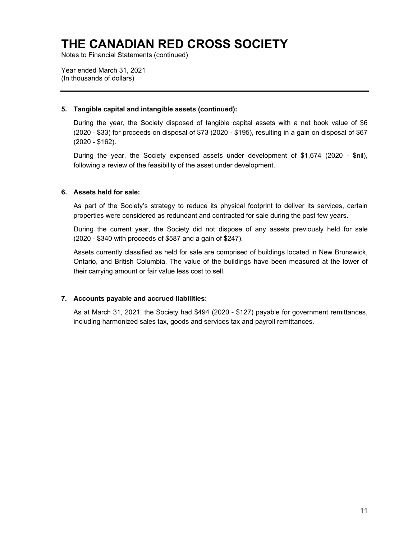Notes to Financial Statements (continued)

Year ended March 31, 2021 (In thousands of dollars)

#### **5. Tangible capital and intangible assets (continued):**

During the year, the Society disposed of tangible capital assets with a net book value of \$6 (2020 - \$33) for proceeds on disposal of \$73 (2020 - \$195), resulting in a gain on disposal of \$67 (2020 - \$162).

During the year, the Society expensed assets under development of \$1,674 (2020 - \$nil), following a review of the feasibility of the asset under development.

### **6. Assets held for sale:**

As part of the Society's strategy to reduce its physical footprint to deliver its services, certain properties were considered as redundant and contracted for sale during the past few years.

During the current year, the Society did not dispose of any assets previously held for sale (2020 - \$340 with proceeds of \$587 and a gain of \$247).

Assets currently classified as held for sale are comprised of buildings located in New Brunswick, Ontario, and British Columbia. The value of the buildings have been measured at the lower of their carrying amount or fair value less cost to sell.

### **7. Accounts payable and accrued liabilities:**

As at March 31, 2021, the Society had \$494 (2020 - \$127) payable for government remittances, including harmonized sales tax, goods and services tax and payroll remittances.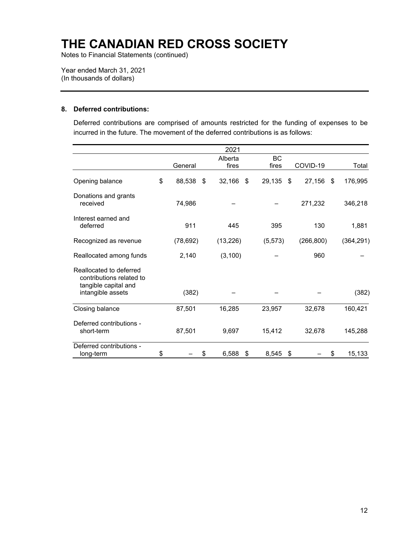Notes to Financial Statements (continued)

Year ended March 31, 2021 (In thousands of dollars)

### **8. Deferred contributions:**

Deferred contributions are comprised of amounts restricted for the funding of expenses to be incurred in the future. The movement of the deferred contributions is as follows:

|                                                                                                  |                    | 2021             |                    |               |            |
|--------------------------------------------------------------------------------------------------|--------------------|------------------|--------------------|---------------|------------|
|                                                                                                  | General            | Alberta<br>fires | <b>BC</b><br>fires | COVID-19      | Total      |
| Opening balance                                                                                  | \$<br>88,538<br>\$ | 32,166<br>\$     | 29,135<br>\$       | 27,156<br>-\$ | 176,995    |
| Donations and grants<br>received                                                                 | 74,986             |                  |                    | 271,232       | 346,218    |
| Interest earned and<br>deferred                                                                  | 911                | 445              | 395                | 130           | 1,881      |
| Recognized as revenue                                                                            | (78, 692)          | (13, 226)        | (5, 573)           | (266, 800)    | (364, 291) |
| Reallocated among funds                                                                          | 2,140              | (3, 100)         |                    | 960           |            |
| Reallocated to deferred<br>contributions related to<br>tangible capital and<br>intangible assets | (382)              |                  |                    |               | (382)      |
| Closing balance                                                                                  | 87,501             | 16,285           | 23,957             | 32,678        | 160,421    |
| Deferred contributions -<br>short-term                                                           | 87,501             | 9,697            | 15,412             | 32,678        | 145,288    |
| Deferred contributions -<br>long-term                                                            | \$<br>\$           | 6,588<br>\$      | 8,545<br>\$        | \$            | 15,133     |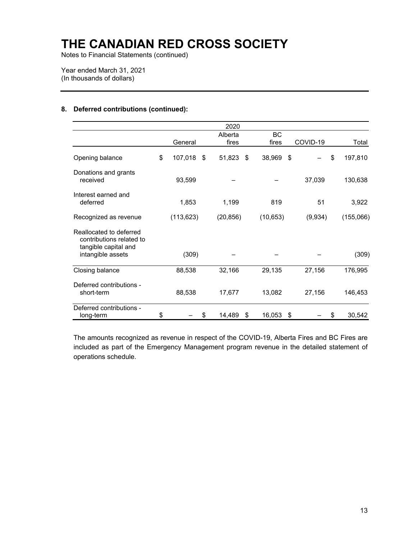Notes to Financial Statements (continued)

Year ended March 31, 2021 (In thousands of dollars)

### **8. Deferred contributions (continued):**

|                                                                                                  |               |    | 2020             |              |          |    |           |
|--------------------------------------------------------------------------------------------------|---------------|----|------------------|--------------|----------|----|-----------|
|                                                                                                  | General       |    | Alberta<br>fires | BC<br>fires  | COVID-19 |    | Total     |
| Opening balance                                                                                  | \$<br>107,018 | \$ | 51,823           | \$<br>38,969 | \$       | \$ | 197,810   |
| Donations and grants<br>received                                                                 | 93,599        |    |                  |              | 37,039   |    | 130,638   |
| Interest earned and<br>deferred                                                                  | 1,853         |    | 1,199            | 819          | 51       |    | 3,922     |
| Recognized as revenue                                                                            | (113, 623)    |    | (20, 856)        | (10, 653)    | (9,934)  |    | (155,066) |
| Reallocated to deferred<br>contributions related to<br>tangible capital and<br>intangible assets | (309)         |    |                  |              |          |    | (309)     |
| Closing balance                                                                                  | 88,538        |    | 32,166           | 29,135       | 27,156   |    | 176,995   |
| Deferred contributions -<br>short-term                                                           | 88,538        |    | 17,677           | 13,082       | 27,156   |    | 146,453   |
| Deferred contributions -<br>long-term                                                            | \$            | S  | 14,489           | \$<br>16,053 | \$       | S  | 30,542    |

The amounts recognized as revenue in respect of the COVID-19, Alberta Fires and BC Fires are included as part of the Emergency Management program revenue in the detailed statement of operations schedule.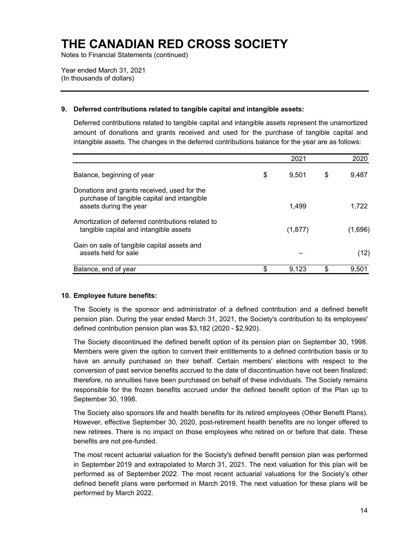Notes to Financial Statements (continued)

Year ended March 31, 2021 (In thousands of dollars)

### **9. Deferred contributions related to tangible capital and intangible assets:**

Deferred contributions related to tangible capital and intangible assets represent the unamortized amount of donations and grants received and used for the purchase of tangible capital and intangible assets. The changes in the deferred contributions balance for the year are as follows:

|                                                                                                                      | 2021        | 2020        |
|----------------------------------------------------------------------------------------------------------------------|-------------|-------------|
| Balance, beginning of year                                                                                           | \$<br>9.501 | \$<br>9.487 |
| Donations and grants received, used for the<br>purchase of tangible capital and intangible<br>assets during the year | 1.499       | 1,722       |
| Amortization of deferred contributions related to<br>tangible capital and intangible assets                          | (1, 877)    | (1,696)     |
| Gain on sale of tangible capital assets and<br>assets held for sale                                                  |             | (12)        |
| Balance, end of year                                                                                                 | \$<br>9.123 | \$<br>9.501 |

### **10. Employee future benefits:**

The Society is the sponsor and administrator of a defined contribution and a defined benefit pension plan. During the year ended March 31, 2021, the Society's contribution to its employees' defined contribution pension plan was \$3,182 (2020 - \$2,920).

The Society discontinued the defined benefit option of its pension plan on September 30, 1998. Members were given the option to convert their entitlements to a defined contribution basis or to have an annuity purchased on their behalf. Certain members' elections with respect to the conversion of past service benefits accrued to the date of discontinuation have not been finalized; therefore, no annuities have been purchased on behalf of these individuals. The Society remains responsible for the frozen benefits accrued under the defined benefit option of the Plan up to September 30, 1998.

The Society also sponsors life and health benefits for its retired employees (Other Benefit Plans). However, effective September 30, 2020, post-retirement health benefits are no longer offered to new retirees. There is no impact on those employees who retired on or before that date. These benefits are not pre-funded.

The most recent actuarial valuation for the Society's defined benefit pension plan was performed in September 2019 and extrapolated to March 31, 2021. The next valuation for this plan will be performed as of September 2022. The most recent actuarial valuations for the Society's other defined benefit plans were performed in March 2019. The next valuation for these plans will be performed by March 2022.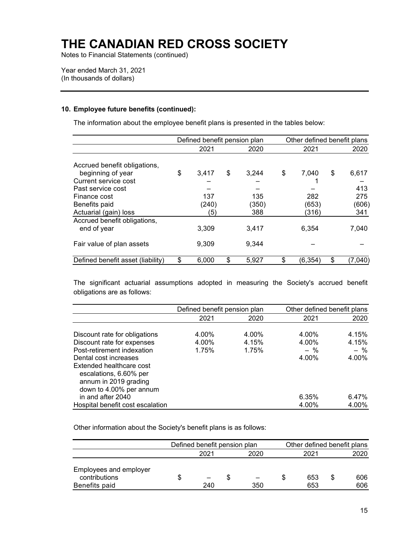Notes to Financial Statements (continued)

Year ended March 31, 2021 (In thousands of dollars)

### **10. Employee future benefits (continued):**

The information about the employee benefit plans is presented in the tables below:

|                                   | Defined benefit pension plan |       |    |       | Other defined benefit plans |          |    |                       |
|-----------------------------------|------------------------------|-------|----|-------|-----------------------------|----------|----|-----------------------|
|                                   |                              | 2021  |    | 2020  | 2021                        |          |    | 2020                  |
| Accrued benefit obligations,      |                              |       |    |       |                             |          |    |                       |
| beginning of year                 | \$                           | 3,417 | \$ | 3,244 | \$                          | 7.040    | \$ | 6,617                 |
| Current service cost              |                              |       |    |       |                             |          |    |                       |
| Past service cost                 |                              |       |    |       |                             |          |    | 413                   |
| Finance cost                      |                              | 137   |    | 135   |                             | 282      |    | 275                   |
| Benefits paid                     |                              | (240) |    | (350) |                             | (653)    |    | (606)                 |
| Actuarial (gain) loss             |                              | '5)   |    | 388   |                             | 316)     |    | 341                   |
| Accrued benefit obligations,      |                              |       |    |       |                             |          |    |                       |
| end of year                       |                              | 3.309 |    | 3,417 |                             | 6.354    |    | 7,040                 |
| Fair value of plan assets         |                              | 9.309 |    | 9.344 |                             |          |    |                       |
| Defined benefit asset (liability) |                              | 6.000 | \$ | 5.927 |                             | (6, 354) |    | $\left( 7,040\right)$ |

The significant actuarial assumptions adopted in measuring the Society's accrued benefit obligations are as follows:

|                                  | Defined benefit pension plan |       | Other defined benefit plans |       |
|----------------------------------|------------------------------|-------|-----------------------------|-------|
|                                  | 2021                         | 2020  | 2021                        | 2020  |
|                                  |                              |       |                             |       |
| Discount rate for obligations    | 4.00%                        | 4.00% | 4.00%                       | 4.15% |
| Discount rate for expenses       | 4.00%                        | 4.15% | 4.00%                       | 4.15% |
| Post-retirement indexation       | 1.75%                        | 1.75% | $-$ %                       | $-$ % |
| Dental cost increases            |                              |       | 4.00%                       | 4.00% |
| Extended healthcare cost         |                              |       |                             |       |
| escalations, 6.60% per           |                              |       |                             |       |
| annum in 2019 grading            |                              |       |                             |       |
| down to 4.00% per annum          |                              |       |                             |       |
| in and after 2040                |                              |       | 6.35%                       | 6.47% |
| Hospital benefit cost escalation |                              |       | 4.00%                       | 4.00% |

Other information about the Society's benefit plans is as follows:

|                                                          | Defined benefit pension plan |  |      |      | Other defined benefit plans |   |            |  |
|----------------------------------------------------------|------------------------------|--|------|------|-----------------------------|---|------------|--|
|                                                          | 2021                         |  | 2020 | 2021 |                             |   | 2020       |  |
| Employees and employer<br>contributions<br>Benefits paid | -<br>240                     |  | 350  | S    | 653<br>653                  | S | 606<br>606 |  |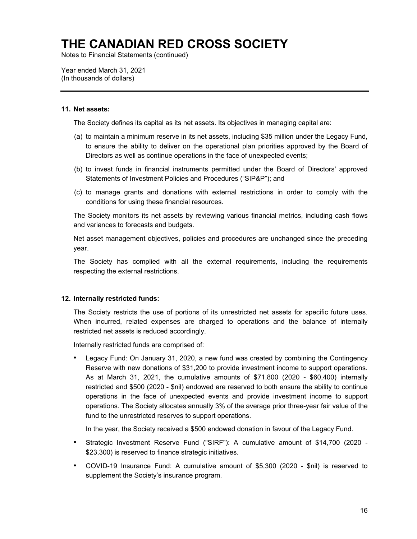Notes to Financial Statements (continued)

Year ended March 31, 2021 (In thousands of dollars)

### **11. Net assets:**

The Society defines its capital as its net assets. Its objectives in managing capital are:

- (a) to maintain a minimum reserve in its net assets, including \$35 million under the Legacy Fund, to ensure the ability to deliver on the operational plan priorities approved by the Board of Directors as well as continue operations in the face of unexpected events;
- (b) to invest funds in financial instruments permitted under the Board of Directors' approved Statements of Investment Policies and Procedures ("SIP&P"); and
- (c) to manage grants and donations with external restrictions in order to comply with the conditions for using these financial resources.

The Society monitors its net assets by reviewing various financial metrics, including cash flows and variances to forecasts and budgets.

Net asset management objectives, policies and procedures are unchanged since the preceding year.

The Society has complied with all the external requirements, including the requirements respecting the external restrictions.

### **12. Internally restricted funds:**

The Society restricts the use of portions of its unrestricted net assets for specific future uses. When incurred, related expenses are charged to operations and the balance of internally restricted net assets is reduced accordingly.

Internally restricted funds are comprised of:

• Legacy Fund: On January 31, 2020, a new fund was created by combining the Contingency Reserve with new donations of \$31,200 to provide investment income to support operations. As at March 31, 2021, the cumulative amounts of \$71,800 (2020 - \$60,400) internally restricted and \$500 (2020 - \$nil) endowed are reserved to both ensure the ability to continue operations in the face of unexpected events and provide investment income to support operations. The Society allocates annually 3% of the average prior three-year fair value of the fund to the unrestricted reserves to support operations.

In the year, the Society received a \$500 endowed donation in favour of the Legacy Fund.

- Strategic Investment Reserve Fund ("SIRF"): A cumulative amount of \$14,700 (2020 \$23,300) is reserved to finance strategic initiatives.
- COVID-19 Insurance Fund: A cumulative amount of \$5,300 (2020 \$nil) is reserved to supplement the Society's insurance program.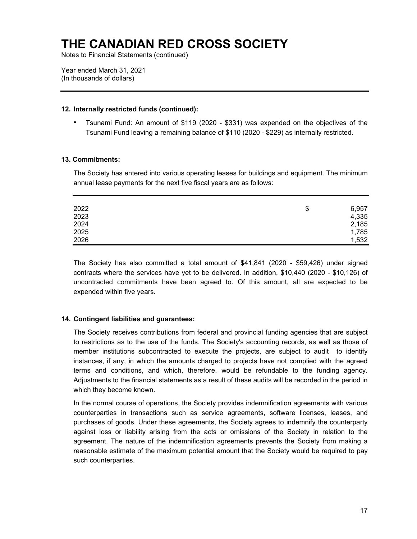Notes to Financial Statements (continued)

Year ended March 31, 2021 (In thousands of dollars)

#### **12. Internally restricted funds (continued):**

• Tsunami Fund: An amount of \$119 (2020 - \$331) was expended on the objectives of the Tsunami Fund leaving a remaining balance of \$110 (2020 - \$229) as internally restricted.

### **13. Commitments:**

The Society has entered into various operating leases for buildings and equipment. The minimum annual lease payments for the next five fiscal years are as follows:

| 2022 | \$<br>6,957 |
|------|-------------|
| 2023 | 4,335       |
| 2024 | 2,185       |
| 2025 | 1,785       |
| 2026 | 1,532       |

The Society has also committed a total amount of \$41,841 (2020 - \$59,426) under signed contracts where the services have yet to be delivered. In addition, \$10,440 (2020 - \$10,126) of uncontracted commitments have been agreed to. Of this amount, all are expected to be expended within five years.

### **14. Contingent liabilities and guarantees:**

The Society receives contributions from federal and provincial funding agencies that are subject to restrictions as to the use of the funds. The Society's accounting records, as well as those of member institutions subcontracted to execute the projects, are subject to audit to identify instances, if any, in which the amounts charged to projects have not complied with the agreed terms and conditions, and which, therefore, would be refundable to the funding agency. Adjustments to the financial statements as a result of these audits will be recorded in the period in which they become known.

In the normal course of operations, the Society provides indemnification agreements with various counterparties in transactions such as service agreements, software licenses, leases, and purchases of goods. Under these agreements, the Society agrees to indemnify the counterparty against loss or liability arising from the acts or omissions of the Society in relation to the agreement. The nature of the indemnification agreements prevents the Society from making a reasonable estimate of the maximum potential amount that the Society would be required to pay such counterparties.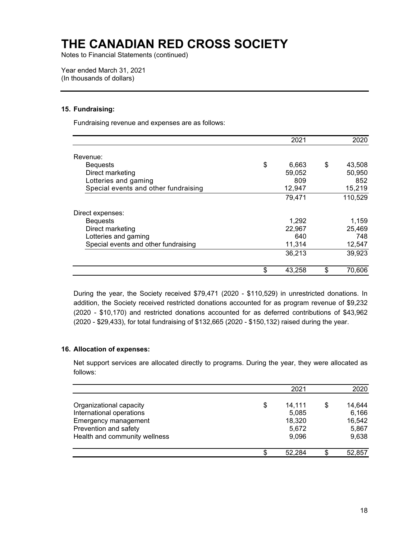Notes to Financial Statements (continued)

Year ended March 31, 2021 (In thousands of dollars)

### **15. Fundraising:**

Fundraising revenue and expenses are as follows:

|                                      | 2021         | 2020         |
|--------------------------------------|--------------|--------------|
| Revenue:                             |              |              |
| <b>Bequests</b>                      | \$<br>6,663  | \$<br>43,508 |
| Direct marketing                     | 59,052       | 50,950       |
| Lotteries and gaming                 | 809          | 852          |
| Special events and other fundraising | 12,947       | 15,219       |
|                                      | 79,471       | 110,529      |
| Direct expenses:                     |              |              |
| <b>Bequests</b>                      | 1,292        | 1,159        |
| Direct marketing                     | 22,967       | 25,469       |
| Lotteries and gaming                 | 640          | 748          |
| Special events and other fundraising | 11,314       | 12,547       |
|                                      | 36,213       | 39,923       |
|                                      | \$<br>43,258 | \$<br>70,606 |

During the year, the Society received \$79,471 (2020 - \$110,529) in unrestricted donations. In addition, the Society received restricted donations accounted for as program revenue of \$9,232 (2020 - \$10,170) and restricted donations accounted for as deferred contributions of \$43,962 (2020 - \$29,433), for total fundraising of \$132,665 (2020 - \$150,132) raised during the year.

### **16. Allocation of expenses:**

Net support services are allocated directly to programs. During the year, they were allocated as follows:

|                                                                                                                                       | 2021                                              |   | 2020                                        |
|---------------------------------------------------------------------------------------------------------------------------------------|---------------------------------------------------|---|---------------------------------------------|
| Organizational capacity<br>International operations<br>Emergency management<br>Prevention and safety<br>Health and community wellness | \$<br>14,111<br>5,085<br>18,320<br>5,672<br>9,096 | S | 14,644<br>6,166<br>16,542<br>5,867<br>9,638 |
|                                                                                                                                       | 52,284                                            |   | 52,857                                      |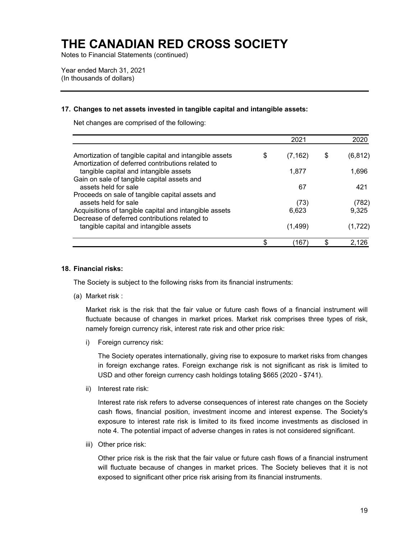Notes to Financial Statements (continued)

Year ended March 31, 2021 (In thousands of dollars)

### **17. Changes to net assets invested in tangible capital and intangible assets:**

Net changes are comprised of the following:

|                                                                                             | 2021           | 2020           |
|---------------------------------------------------------------------------------------------|----------------|----------------|
| Amortization of tangible capital and intangible assets                                      | \$<br>(7, 162) | \$<br>(6, 812) |
| Amortization of deferred contributions related to<br>tangible capital and intangible assets | 1,877          | 1,696          |
| Gain on sale of tangible capital assets and<br>assets held for sale                         | 67             | 421            |
| Proceeds on sale of tangible capital assets and<br>assets held for sale                     | (73)           | (782)          |
| Acquisitions of tangible capital and intangible assets                                      | 6.623          | 9.325          |
| Decrease of deferred contributions related to<br>tangible capital and intangible assets     | (1, 499)       | (1, 722)       |
|                                                                                             | \$<br>(167)    | 2,126          |

#### **18. Financial risks:**

The Society is subject to the following risks from its financial instruments:

(a) Market risk :

Market risk is the risk that the fair value or future cash flows of a financial instrument will fluctuate because of changes in market prices. Market risk comprises three types of risk, namely foreign currency risk, interest rate risk and other price risk:

i) Foreign currency risk:

The Society operates internationally, giving rise to exposure to market risks from changes in foreign exchange rates. Foreign exchange risk is not significant as risk is limited to USD and other foreign currency cash holdings totaling \$665 (2020 - \$741).

ii) Interest rate risk:

Interest rate risk refers to adverse consequences of interest rate changes on the Society cash flows, financial position, investment income and interest expense. The Society's exposure to interest rate risk is limited to its fixed income investments as disclosed in note 4. The potential impact of adverse changes in rates is not considered significant.

iii) Other price risk:

Other price risk is the risk that the fair value or future cash flows of a financial instrument will fluctuate because of changes in market prices. The Society believes that it is not exposed to significant other price risk arising from its financial instruments.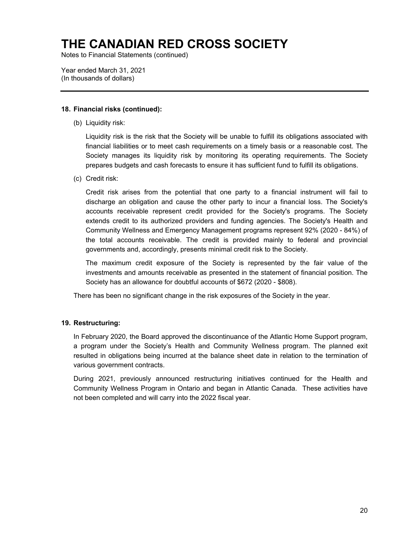Notes to Financial Statements (continued)

Year ended March 31, 2021 (In thousands of dollars)

### **18. Financial risks (continued):**

(b) Liquidity risk:

Liquidity risk is the risk that the Society will be unable to fulfill its obligations associated with financial liabilities or to meet cash requirements on a timely basis or a reasonable cost. The Society manages its liquidity risk by monitoring its operating requirements. The Society prepares budgets and cash forecasts to ensure it has sufficient fund to fulfill its obligations.

(c) Credit risk:

Credit risk arises from the potential that one party to a financial instrument will fail to discharge an obligation and cause the other party to incur a financial loss. The Society's accounts receivable represent credit provided for the Society's programs. The Society extends credit to its authorized providers and funding agencies. The Society's Health and Community Wellness and Emergency Management programs represent 92% (2020 - 84%) of the total accounts receivable. The credit is provided mainly to federal and provincial governments and, accordingly, presents minimal credit risk to the Society.

The maximum credit exposure of the Society is represented by the fair value of the investments and amounts receivable as presented in the statement of financial position. The Society has an allowance for doubtful accounts of \$672 (2020 - \$808).

There has been no significant change in the risk exposures of the Society in the year.

### **19. Restructuring:**

In February 2020, the Board approved the discontinuance of the Atlantic Home Support program, a program under the Society's Health and Community Wellness program. The planned exit resulted in obligations being incurred at the balance sheet date in relation to the termination of various government contracts.

During 2021, previously announced restructuring initiatives continued for the Health and Community Wellness Program in Ontario and began in Atlantic Canada. These activities have not been completed and will carry into the 2022 fiscal year.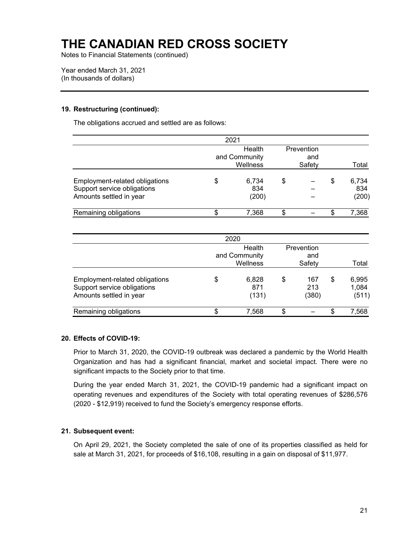Notes to Financial Statements (continued)

Year ended March 31, 2021 (In thousands of dollars)

### **19. Restructuring (continued):**

The obligations accrued and settled are as follows:

|                                | 2021          |     |            |   |       |
|--------------------------------|---------------|-----|------------|---|-------|
|                                | Health        |     | Prevention |   |       |
|                                | and Community | and |            |   |       |
|                                | Wellness      |     | Safety     |   | Total |
| Employment-related obligations | \$<br>6,734   | \$  |            | S | 6,734 |
| Support service obligations    | 834           |     |            |   | 834   |
| Amounts settled in year        | (200)         |     |            |   | (200) |
| Remaining obligations          | \$<br>7,368   | \$  |            | œ | 7,368 |

|                                |               | 2020     |     |            |             |
|--------------------------------|---------------|----------|-----|------------|-------------|
|                                |               | Health   |     | Prevention |             |
|                                | and Community |          | and |            |             |
|                                |               | Wellness |     | Safety     | Total       |
| Employment-related obligations | \$            | 6,828    | \$  | 167        | \$<br>6,995 |
| Support service obligations    |               | 871      |     | 213        | 1,084       |
| Amounts settled in year        |               | (131)    |     | (380)      | (511)       |
| Remaining obligations          | \$            | 7,568    | \$  |            | 7,568       |

### **20. Effects of COVID-19:**

Prior to March 31, 2020, the COVID-19 outbreak was declared a pandemic by the World Health Organization and has had a significant financial, market and societal impact. There were no significant impacts to the Society prior to that time.

During the year ended March 31, 2021, the COVID-19 pandemic had a significant impact on operating revenues and expenditures of the Society with total operating revenues of \$286,576 (2020 - \$12,919) received to fund the Society's emergency response efforts.

#### **21. Subsequent event:**

On April 29, 2021, the Society completed the sale of one of its properties classified as held for sale at March 31, 2021, for proceeds of \$16,108, resulting in a gain on disposal of \$11,977.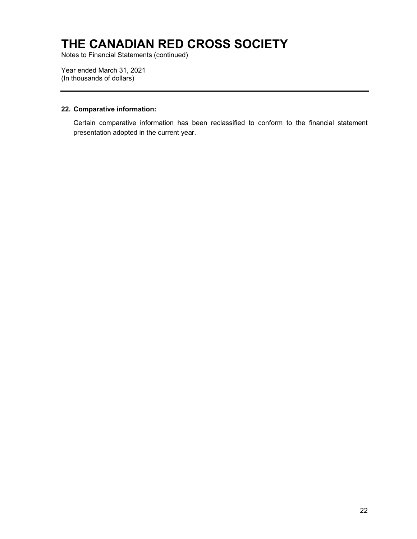Notes to Financial Statements (continued)

Year ended March 31, 2021 (In thousands of dollars)

### **22. Comparative information:**

Certain comparative information has been reclassified to conform to the financial statement presentation adopted in the current year.